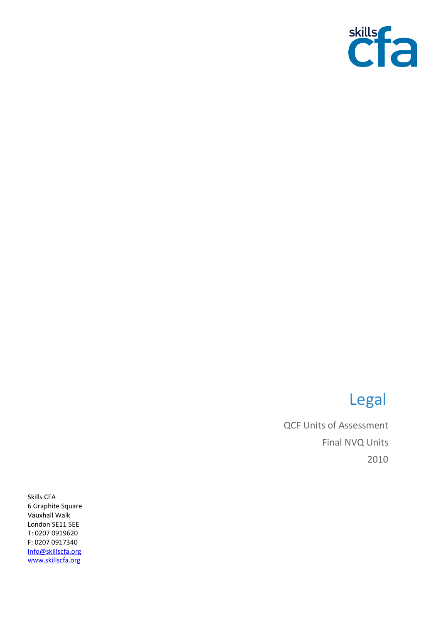

## Legal

QCF Units of Assessment Final NVQ Units 2010

Skills CFA 6 Graphite Square Vauxhall Walk London SE11 5EE T: 0207 0919620 F: 0207 0917340 [Info@skillscfa.org](mailto:Info@skillscfa.org) [www.skillscfa.org](http://www.skillscfa.org/)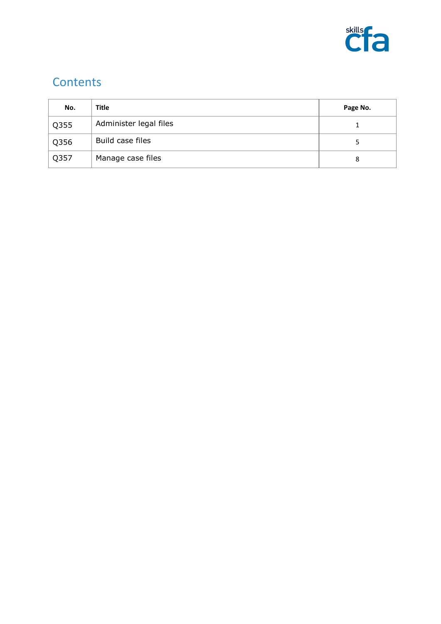

## **Contents**

| No.  | Title                  | Page No. |
|------|------------------------|----------|
| Q355 | Administer legal files |          |
| Q356 | Build case files       |          |
| Q357 | Manage case files      | 8        |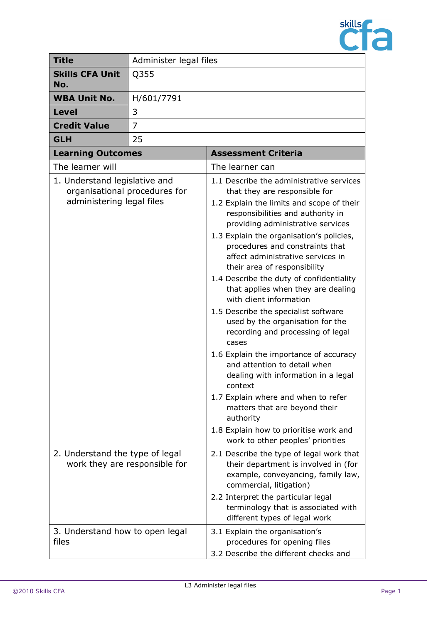

| <b>Title</b>                                                                                                                                                    | Administer legal files |                                                                                                                                                                                                                                                                                                                                                                                                                                                                                                                                                                                                                                                                                                                                                                                                                                                                                                                                                                                                                                                                                                                               |
|-----------------------------------------------------------------------------------------------------------------------------------------------------------------|------------------------|-------------------------------------------------------------------------------------------------------------------------------------------------------------------------------------------------------------------------------------------------------------------------------------------------------------------------------------------------------------------------------------------------------------------------------------------------------------------------------------------------------------------------------------------------------------------------------------------------------------------------------------------------------------------------------------------------------------------------------------------------------------------------------------------------------------------------------------------------------------------------------------------------------------------------------------------------------------------------------------------------------------------------------------------------------------------------------------------------------------------------------|
| <b>Skills CFA Unit</b><br>No.                                                                                                                                   | Q355                   |                                                                                                                                                                                                                                                                                                                                                                                                                                                                                                                                                                                                                                                                                                                                                                                                                                                                                                                                                                                                                                                                                                                               |
| <b>WBA Unit No.</b>                                                                                                                                             | H/601/7791             |                                                                                                                                                                                                                                                                                                                                                                                                                                                                                                                                                                                                                                                                                                                                                                                                                                                                                                                                                                                                                                                                                                                               |
| Level                                                                                                                                                           | 3                      |                                                                                                                                                                                                                                                                                                                                                                                                                                                                                                                                                                                                                                                                                                                                                                                                                                                                                                                                                                                                                                                                                                                               |
| <b>Credit Value</b>                                                                                                                                             | $\overline{7}$         |                                                                                                                                                                                                                                                                                                                                                                                                                                                                                                                                                                                                                                                                                                                                                                                                                                                                                                                                                                                                                                                                                                                               |
| <b>GLH</b>                                                                                                                                                      | 25                     |                                                                                                                                                                                                                                                                                                                                                                                                                                                                                                                                                                                                                                                                                                                                                                                                                                                                                                                                                                                                                                                                                                                               |
| <b>Learning Outcomes</b>                                                                                                                                        |                        | <b>Assessment Criteria</b>                                                                                                                                                                                                                                                                                                                                                                                                                                                                                                                                                                                                                                                                                                                                                                                                                                                                                                                                                                                                                                                                                                    |
| The learner will                                                                                                                                                |                        | The learner can                                                                                                                                                                                                                                                                                                                                                                                                                                                                                                                                                                                                                                                                                                                                                                                                                                                                                                                                                                                                                                                                                                               |
| 1. Understand legislative and<br>organisational procedures for<br>administering legal files<br>2. Understand the type of legal<br>work they are responsible for |                        | 1.1 Describe the administrative services<br>that they are responsible for<br>1.2 Explain the limits and scope of their<br>responsibilities and authority in<br>providing administrative services<br>1.3 Explain the organisation's policies,<br>procedures and constraints that<br>affect administrative services in<br>their area of responsibility<br>1.4 Describe the duty of confidentiality<br>that applies when they are dealing<br>with client information<br>1.5 Describe the specialist software<br>used by the organisation for the<br>recording and processing of legal<br>cases<br>1.6 Explain the importance of accuracy<br>and attention to detail when<br>dealing with information in a legal<br>context<br>1.7 Explain where and when to refer<br>matters that are beyond their<br>authority<br>1.8 Explain how to prioritise work and<br>work to other peoples' priorities<br>2.1 Describe the type of legal work that<br>their department is involved in (for<br>example, conveyancing, family law,<br>commercial, litigation)<br>2.2 Interpret the particular legal<br>terminology that is associated with |
| 3. Understand how to open legal<br>files                                                                                                                        |                        | different types of legal work<br>3.1 Explain the organisation's<br>procedures for opening files<br>3.2 Describe the different checks and                                                                                                                                                                                                                                                                                                                                                                                                                                                                                                                                                                                                                                                                                                                                                                                                                                                                                                                                                                                      |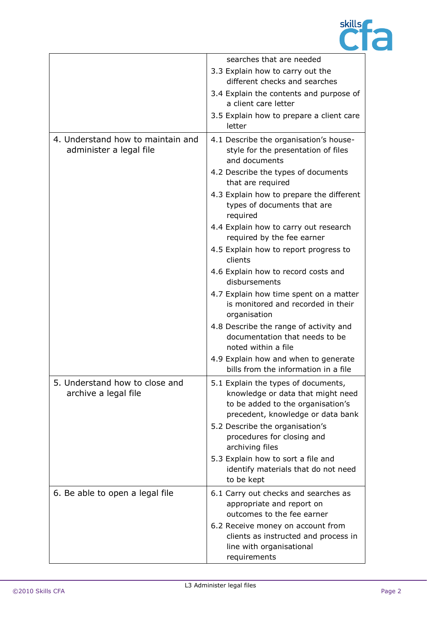

|                                                              | searches that are needed                                                                                                                           |
|--------------------------------------------------------------|----------------------------------------------------------------------------------------------------------------------------------------------------|
|                                                              | 3.3 Explain how to carry out the                                                                                                                   |
|                                                              | different checks and searches                                                                                                                      |
|                                                              | 3.4 Explain the contents and purpose of<br>a client care letter                                                                                    |
|                                                              | 3.5 Explain how to prepare a client care<br>letter                                                                                                 |
| 4. Understand how to maintain and<br>administer a legal file | 4.1 Describe the organisation's house-<br>style for the presentation of files<br>and documents                                                     |
|                                                              | 4.2 Describe the types of documents<br>that are required                                                                                           |
|                                                              | 4.3 Explain how to prepare the different<br>types of documents that are<br>required                                                                |
|                                                              | 4.4 Explain how to carry out research<br>required by the fee earner                                                                                |
|                                                              | 4.5 Explain how to report progress to<br>clients                                                                                                   |
|                                                              | 4.6 Explain how to record costs and<br>disbursements                                                                                               |
|                                                              | 4.7 Explain how time spent on a matter<br>is monitored and recorded in their<br>organisation                                                       |
|                                                              | 4.8 Describe the range of activity and<br>documentation that needs to be<br>noted within a file                                                    |
|                                                              | 4.9 Explain how and when to generate<br>bills from the information in a file                                                                       |
| 5. Understand how to close and<br>archive a legal file       | 5.1 Explain the types of documents,<br>knowledge or data that might need<br>to be added to the organisation's<br>precedent, knowledge or data bank |
|                                                              | 5.2 Describe the organisation's<br>procedures for closing and<br>archiving files                                                                   |
|                                                              | 5.3 Explain how to sort a file and<br>identify materials that do not need<br>to be kept                                                            |
| 6. Be able to open a legal file                              | 6.1 Carry out checks and searches as<br>appropriate and report on<br>outcomes to the fee earner                                                    |
|                                                              | 6.2 Receive money on account from<br>clients as instructed and process in<br>line with organisational<br>requirements                              |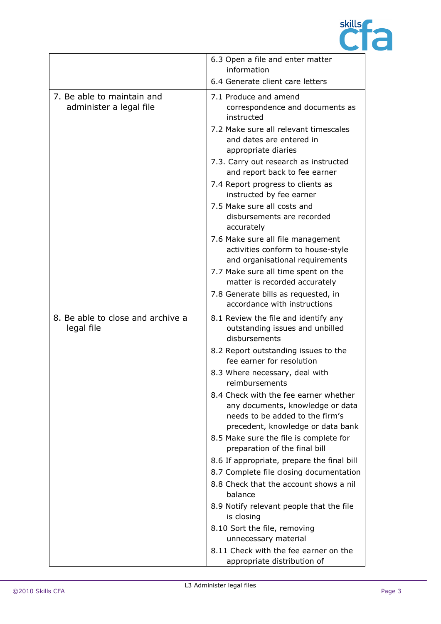

|                                                       | 6.3 Open a file and enter matter<br>information                                                                                                                    |
|-------------------------------------------------------|--------------------------------------------------------------------------------------------------------------------------------------------------------------------|
|                                                       | 6.4 Generate client care letters                                                                                                                                   |
| 7. Be able to maintain and<br>administer a legal file | 7.1 Produce and amend<br>correspondence and documents as<br>instructed<br>7.2 Make sure all relevant timescales<br>and dates are entered in<br>appropriate diaries |
|                                                       | 7.3. Carry out research as instructed<br>and report back to fee earner                                                                                             |
|                                                       | 7.4 Report progress to clients as<br>instructed by fee earner                                                                                                      |
|                                                       | 7.5 Make sure all costs and<br>disbursements are recorded<br>accurately                                                                                            |
|                                                       | 7.6 Make sure all file management<br>activities conform to house-style<br>and organisational requirements                                                          |
|                                                       | 7.7 Make sure all time spent on the<br>matter is recorded accurately                                                                                               |
|                                                       | 7.8 Generate bills as requested, in<br>accordance with instructions                                                                                                |
| 8. Be able to close and archive a<br>legal file       | 8.1 Review the file and identify any<br>outstanding issues and unbilled<br>disbursements                                                                           |
|                                                       | 8.2 Report outstanding issues to the<br>fee earner for resolution                                                                                                  |
|                                                       | 8.3 Where necessary, deal with<br>reimbursements                                                                                                                   |
|                                                       | 8.4 Check with the fee earner whether<br>any documents, knowledge or data<br>needs to be added to the firm's<br>precedent, knowledge or data bank                  |
|                                                       | 8.5 Make sure the file is complete for<br>preparation of the final bill                                                                                            |
|                                                       | 8.6 If appropriate, prepare the final bill<br>8.7 Complete file closing documentation<br>8.8 Check that the account shows a nil<br>balance                         |
|                                                       | 8.9 Notify relevant people that the file<br>is closing                                                                                                             |
|                                                       | 8.10 Sort the file, removing<br>unnecessary material                                                                                                               |
|                                                       | 8.11 Check with the fee earner on the<br>appropriate distribution of                                                                                               |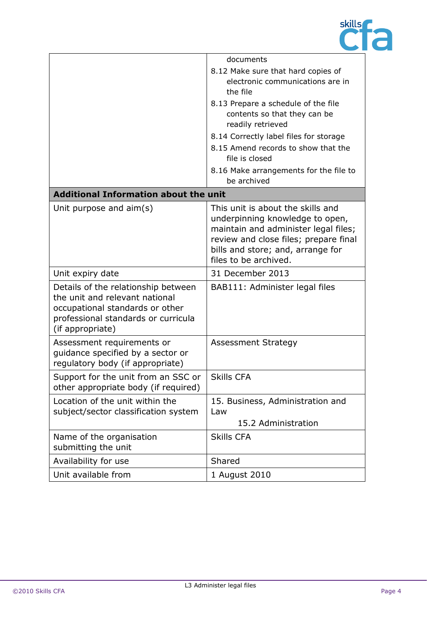

|                                                                                                                                                                     | documents                                                                                                                                                                                                           |
|---------------------------------------------------------------------------------------------------------------------------------------------------------------------|---------------------------------------------------------------------------------------------------------------------------------------------------------------------------------------------------------------------|
|                                                                                                                                                                     | 8.12 Make sure that hard copies of<br>electronic communications are in<br>the file                                                                                                                                  |
|                                                                                                                                                                     | 8.13 Prepare a schedule of the file<br>contents so that they can be<br>readily retrieved                                                                                                                            |
|                                                                                                                                                                     | 8.14 Correctly label files for storage                                                                                                                                                                              |
|                                                                                                                                                                     | 8.15 Amend records to show that the<br>file is closed                                                                                                                                                               |
|                                                                                                                                                                     | 8.16 Make arrangements for the file to<br>be archived                                                                                                                                                               |
| <b>Additional Information about the unit</b>                                                                                                                        |                                                                                                                                                                                                                     |
| Unit purpose and aim(s)                                                                                                                                             | This unit is about the skills and<br>underpinning knowledge to open,<br>maintain and administer legal files;<br>review and close files; prepare final<br>bills and store; and, arrange for<br>files to be archived. |
| Unit expiry date                                                                                                                                                    | 31 December 2013                                                                                                                                                                                                    |
| Details of the relationship between<br>the unit and relevant national<br>occupational standards or other<br>professional standards or curricula<br>(if appropriate) | BAB111: Administer legal files                                                                                                                                                                                      |
| Assessment requirements or<br>guidance specified by a sector or<br>regulatory body (if appropriate)                                                                 | <b>Assessment Strategy</b>                                                                                                                                                                                          |
| Support for the unit from an SSC or<br>other appropriate body (if required)                                                                                         | <b>Skills CFA</b>                                                                                                                                                                                                   |
| Location of the unit within the<br>subject/sector classification system                                                                                             | 15. Business, Administration and<br>Law<br>15.2 Administration                                                                                                                                                      |
| Name of the organisation                                                                                                                                            | <b>Skills CFA</b>                                                                                                                                                                                                   |
| submitting the unit                                                                                                                                                 |                                                                                                                                                                                                                     |
| Availability for use                                                                                                                                                | Shared                                                                                                                                                                                                              |
| Unit available from                                                                                                                                                 | 1 August 2010                                                                                                                                                                                                       |
|                                                                                                                                                                     |                                                                                                                                                                                                                     |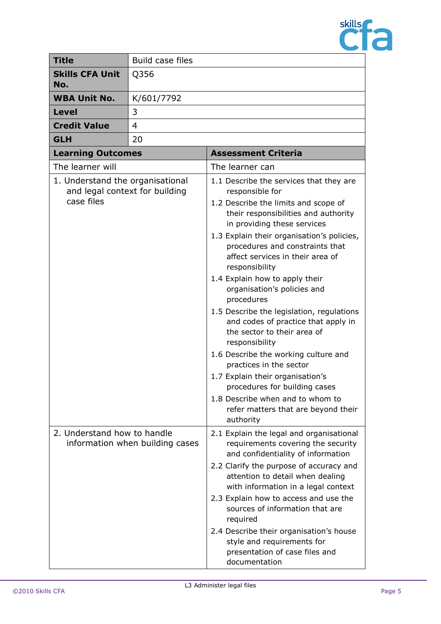

| <b>Title</b>                                                                     | Build case files                |                                                                                                                                                                    |
|----------------------------------------------------------------------------------|---------------------------------|--------------------------------------------------------------------------------------------------------------------------------------------------------------------|
| <b>Skills CFA Unit</b><br>No.                                                    | Q356                            |                                                                                                                                                                    |
| <b>WBA Unit No.</b>                                                              | K/601/7792                      |                                                                                                                                                                    |
| <b>Level</b>                                                                     | 3                               |                                                                                                                                                                    |
| <b>Credit Value</b>                                                              | 4                               |                                                                                                                                                                    |
| <b>GLH</b>                                                                       | 20                              |                                                                                                                                                                    |
| <b>Learning Outcomes</b>                                                         |                                 | <b>Assessment Criteria</b>                                                                                                                                         |
| The learner will                                                                 |                                 | The learner can                                                                                                                                                    |
| 1. Understand the organisational<br>and legal context for building<br>case files |                                 | 1.1 Describe the services that they are<br>responsible for<br>1.2 Describe the limits and scope of<br>their responsibilities and authority                         |
|                                                                                  |                                 | in providing these services<br>1.3 Explain their organisation's policies,<br>procedures and constraints that<br>affect services in their area of<br>responsibility |
|                                                                                  |                                 | 1.4 Explain how to apply their<br>organisation's policies and<br>procedures                                                                                        |
|                                                                                  |                                 | 1.5 Describe the legislation, regulations<br>and codes of practice that apply in<br>the sector to their area of<br>responsibility                                  |
|                                                                                  |                                 | 1.6 Describe the working culture and<br>practices in the sector                                                                                                    |
|                                                                                  |                                 | 1.7 Explain their organisation's<br>procedures for building cases                                                                                                  |
|                                                                                  |                                 | 1.8 Describe when and to whom to<br>refer matters that are beyond their<br>authority                                                                               |
| 2. Understand how to handle                                                      | information when building cases | 2.1 Explain the legal and organisational<br>requirements covering the security<br>and confidentiality of information                                               |
|                                                                                  |                                 | 2.2 Clarify the purpose of accuracy and<br>attention to detail when dealing<br>with information in a legal context                                                 |
|                                                                                  |                                 | 2.3 Explain how to access and use the<br>sources of information that are<br>required                                                                               |
|                                                                                  |                                 | 2.4 Describe their organisation's house<br>style and requirements for<br>presentation of case files and<br>documentation                                           |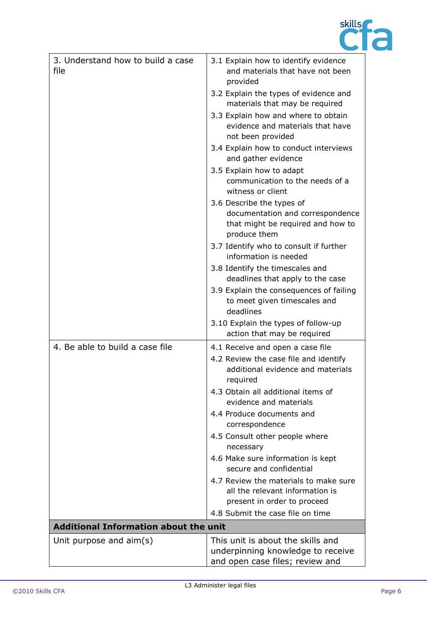

| 3. Understand how to build a case<br>file    | 3.1 Explain how to identify evidence<br>and materials that have not been<br>provided                                       |
|----------------------------------------------|----------------------------------------------------------------------------------------------------------------------------|
|                                              | 3.2 Explain the types of evidence and<br>materials that may be required                                                    |
|                                              | 3.3 Explain how and where to obtain<br>evidence and materials that have<br>not been provided                               |
|                                              | 3.4 Explain how to conduct interviews<br>and gather evidence                                                               |
|                                              | 3.5 Explain how to adapt<br>communication to the needs of a<br>witness or client                                           |
|                                              | 3.6 Describe the types of<br>documentation and correspondence<br>that might be required and how to<br>produce them         |
|                                              | 3.7 Identify who to consult if further<br>information is needed                                                            |
|                                              | 3.8 Identify the timescales and<br>deadlines that apply to the case                                                        |
|                                              | 3.9 Explain the consequences of failing<br>to meet given timescales and<br>deadlines                                       |
|                                              | 3.10 Explain the types of follow-up<br>action that may be required                                                         |
| 4. Be able to build a case file              | 4.1 Receive and open a case file<br>4.2 Review the case file and identify<br>additional evidence and materials<br>required |
|                                              | 4.3 Obtain all additional items of<br>evidence and materials                                                               |
|                                              | 4.4 Produce documents and<br>correspondence                                                                                |
|                                              | 4.5 Consult other people where<br>necessary                                                                                |
|                                              | 4.6 Make sure information is kept<br>secure and confidential                                                               |
|                                              | 4.7 Review the materials to make sure<br>all the relevant information is<br>present in order to proceed                    |
|                                              | 4.8 Submit the case file on time                                                                                           |
| <b>Additional Information about the unit</b> |                                                                                                                            |
| Unit purpose and $\text{aim}(s)$             | This unit is about the skills and<br>underpinning knowledge to receive<br>and open case files; review and                  |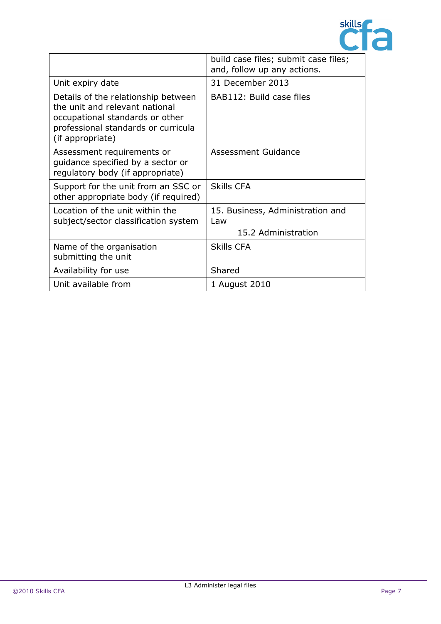

|                                                                                                                                                                     | build case files; submit case files;<br>and, follow up any actions. |
|---------------------------------------------------------------------------------------------------------------------------------------------------------------------|---------------------------------------------------------------------|
| Unit expiry date                                                                                                                                                    | 31 December 2013                                                    |
| Details of the relationship between<br>the unit and relevant national<br>occupational standards or other<br>professional standards or curricula<br>(if appropriate) | BAB112: Build case files                                            |
| Assessment requirements or<br>guidance specified by a sector or<br>regulatory body (if appropriate)                                                                 | Assessment Guidance                                                 |
| Support for the unit from an SSC or<br>other appropriate body (if required)                                                                                         | <b>Skills CFA</b>                                                   |
| Location of the unit within the<br>subject/sector classification system                                                                                             | 15. Business, Administration and<br>Law<br>15.2 Administration      |
| Name of the organisation<br>submitting the unit                                                                                                                     | <b>Skills CFA</b>                                                   |
| Availability for use                                                                                                                                                | Shared                                                              |
| Unit available from                                                                                                                                                 | 1 August 2010                                                       |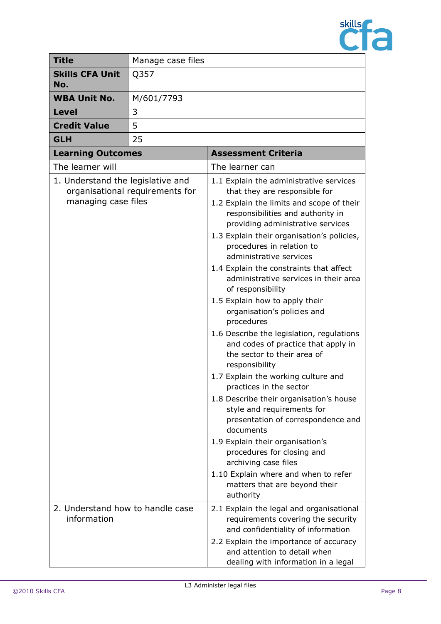

| <b>Title</b>                                             | Manage case files               |                                                                                                                                                                                                                                                                                                                                                                                                                                                                                                                                                                                                                                                                                                                                                                                                                                                                                                                                                                    |
|----------------------------------------------------------|---------------------------------|--------------------------------------------------------------------------------------------------------------------------------------------------------------------------------------------------------------------------------------------------------------------------------------------------------------------------------------------------------------------------------------------------------------------------------------------------------------------------------------------------------------------------------------------------------------------------------------------------------------------------------------------------------------------------------------------------------------------------------------------------------------------------------------------------------------------------------------------------------------------------------------------------------------------------------------------------------------------|
| <b>Skills CFA Unit</b><br>No.                            | Q357                            |                                                                                                                                                                                                                                                                                                                                                                                                                                                                                                                                                                                                                                                                                                                                                                                                                                                                                                                                                                    |
| <b>WBA Unit No.</b>                                      | M/601/7793                      |                                                                                                                                                                                                                                                                                                                                                                                                                                                                                                                                                                                                                                                                                                                                                                                                                                                                                                                                                                    |
| Level                                                    | 3                               |                                                                                                                                                                                                                                                                                                                                                                                                                                                                                                                                                                                                                                                                                                                                                                                                                                                                                                                                                                    |
| <b>Credit Value</b>                                      | 5                               |                                                                                                                                                                                                                                                                                                                                                                                                                                                                                                                                                                                                                                                                                                                                                                                                                                                                                                                                                                    |
| <b>GLH</b>                                               | 25                              |                                                                                                                                                                                                                                                                                                                                                                                                                                                                                                                                                                                                                                                                                                                                                                                                                                                                                                                                                                    |
| <b>Learning Outcomes</b>                                 |                                 | <b>Assessment Criteria</b>                                                                                                                                                                                                                                                                                                                                                                                                                                                                                                                                                                                                                                                                                                                                                                                                                                                                                                                                         |
| The learner will                                         |                                 | The learner can                                                                                                                                                                                                                                                                                                                                                                                                                                                                                                                                                                                                                                                                                                                                                                                                                                                                                                                                                    |
| 1. Understand the legislative and<br>managing case files | organisational requirements for | 1.1 Explain the administrative services<br>that they are responsible for<br>1.2 Explain the limits and scope of their<br>responsibilities and authority in<br>providing administrative services<br>1.3 Explain their organisation's policies,<br>procedures in relation to<br>administrative services<br>1.4 Explain the constraints that affect<br>administrative services in their area<br>of responsibility<br>1.5 Explain how to apply their<br>organisation's policies and<br>procedures<br>1.6 Describe the legislation, regulations<br>and codes of practice that apply in<br>the sector to their area of<br>responsibility<br>1.7 Explain the working culture and<br>practices in the sector<br>1.8 Describe their organisation's house<br>style and requirements for<br>presentation of correspondence and<br>documents<br>1.9 Explain their organisation's<br>procedures for closing and<br>archiving case files<br>1.10 Explain where and when to refer |
|                                                          |                                 | matters that are beyond their<br>authority                                                                                                                                                                                                                                                                                                                                                                                                                                                                                                                                                                                                                                                                                                                                                                                                                                                                                                                         |
| 2. Understand how to handle case<br>information          |                                 | 2.1 Explain the legal and organisational<br>requirements covering the security<br>and confidentiality of information<br>2.2 Explain the importance of accuracy<br>and attention to detail when<br>dealing with information in a legal                                                                                                                                                                                                                                                                                                                                                                                                                                                                                                                                                                                                                                                                                                                              |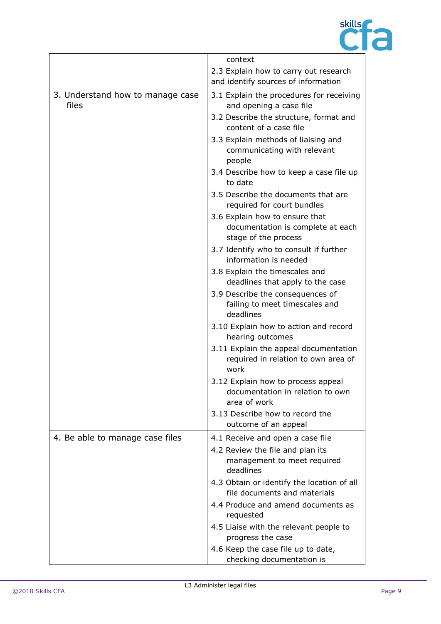

|                                           | context                                                                                     |
|-------------------------------------------|---------------------------------------------------------------------------------------------|
|                                           | 2.3 Explain how to carry out research<br>and identify sources of information                |
| 3. Understand how to manage case<br>files | 3.1 Explain the procedures for receiving<br>and opening a case file                         |
|                                           | 3.2 Describe the structure, format and<br>content of a case file                            |
|                                           | 3.3 Explain methods of liaising and<br>communicating with relevant<br>people                |
|                                           | 3.4 Describe how to keep a case file up<br>to date                                          |
|                                           | 3.5 Describe the documents that are<br>required for court bundles                           |
|                                           | 3.6 Explain how to ensure that<br>documentation is complete at each<br>stage of the process |
|                                           | 3.7 Identify who to consult if further<br>information is needed                             |
|                                           | 3.8 Explain the timescales and<br>deadlines that apply to the case                          |
|                                           | 3.9 Describe the consequences of<br>failing to meet timescales and<br>deadlines             |
|                                           | 3.10 Explain how to action and record<br>hearing outcomes                                   |
|                                           | 3.11 Explain the appeal documentation<br>required in relation to own area of<br>work        |
|                                           | 3.12 Explain how to process appeal<br>documentation in relation to own<br>area of work      |
|                                           | 3.13 Describe how to record the<br>outcome of an appeal                                     |
| 4. Be able to manage case files           | 4.1 Receive and open a case file                                                            |
|                                           | 4.2 Review the file and plan its<br>management to meet required<br>deadlines                |
|                                           | 4.3 Obtain or identify the location of all<br>file documents and materials                  |
|                                           | 4.4 Produce and amend documents as<br>requested                                             |
|                                           | 4.5 Liaise with the relevant people to<br>progress the case                                 |
|                                           | 4.6 Keep the case file up to date,<br>checking documentation is                             |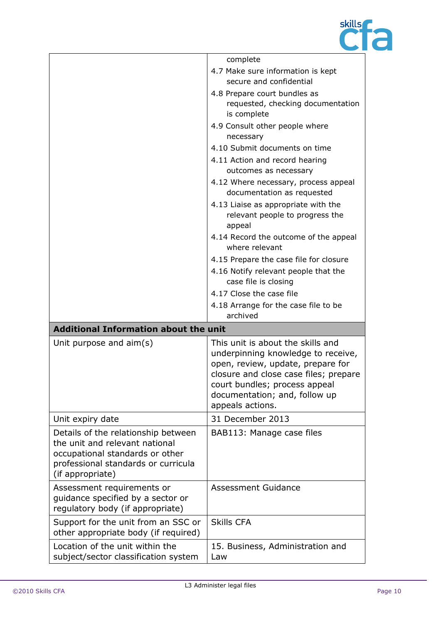

|                                              | complete                                                                         |  |
|----------------------------------------------|----------------------------------------------------------------------------------|--|
|                                              | 4.7 Make sure information is kept                                                |  |
|                                              | secure and confidential                                                          |  |
|                                              | 4.8 Prepare court bundles as                                                     |  |
|                                              | requested, checking documentation                                                |  |
|                                              | is complete                                                                      |  |
|                                              | 4.9 Consult other people where                                                   |  |
|                                              | necessary                                                                        |  |
|                                              | 4.10 Submit documents on time                                                    |  |
|                                              | 4.11 Action and record hearing                                                   |  |
|                                              | outcomes as necessary                                                            |  |
|                                              | 4.12 Where necessary, process appeal<br>documentation as requested               |  |
|                                              | 4.13 Liaise as appropriate with the<br>relevant people to progress the<br>appeal |  |
|                                              | 4.14 Record the outcome of the appeal<br>where relevant                          |  |
|                                              | 4.15 Prepare the case file for closure                                           |  |
|                                              | 4.16 Notify relevant people that the                                             |  |
|                                              | case file is closing                                                             |  |
|                                              | 4.17 Close the case file                                                         |  |
|                                              | 4.18 Arrange for the case file to be                                             |  |
|                                              | archived                                                                         |  |
| <b>Additional Information about the unit</b> |                                                                                  |  |
| Unit purpose and $aim(s)$                    | This unit is about the skills and                                                |  |
|                                              | underpinning knowledge to receive,                                               |  |
|                                              | open, review, update, prepare for                                                |  |
|                                              |                                                                                  |  |
|                                              | closure and close case files; prepare                                            |  |
|                                              | court bundles; process appeal                                                    |  |
|                                              | documentation; and, follow up                                                    |  |
|                                              | appeals actions.                                                                 |  |
| Unit expiry date                             | 31 December 2013                                                                 |  |
| Details of the relationship between          | BAB113: Manage case files                                                        |  |
| the unit and relevant national               |                                                                                  |  |
| occupational standards or other              |                                                                                  |  |
| professional standards or curricula          |                                                                                  |  |
| (if appropriate)                             |                                                                                  |  |
| Assessment requirements or                   | Assessment Guidance                                                              |  |
| guidance specified by a sector or            |                                                                                  |  |
| regulatory body (if appropriate)             |                                                                                  |  |
| Support for the unit from an SSC or          | <b>Skills CFA</b>                                                                |  |
| other appropriate body (if required)         |                                                                                  |  |
| Location of the unit within the              | 15. Business, Administration and                                                 |  |